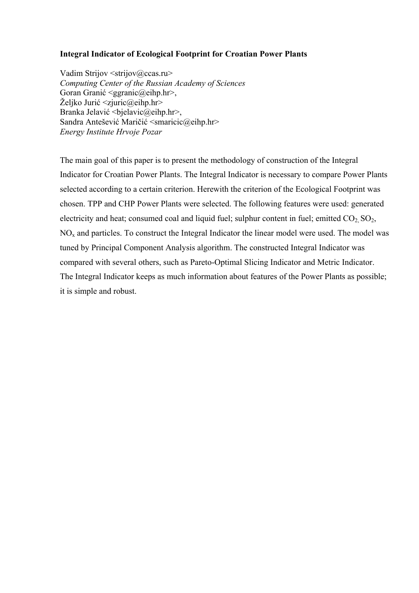## **Integral Indicator of Ecological Footprint for Croatian Power Plants**

Vadim Strijov < strijov@ccas.ru> *Computing Center of the Russian Academy of Sciences*  Goran Granić <ggranic@eihp.hr>, Željko Jurić <zjuric@eihp.hr> Branka Jelavić <bjelavic@eihp.hr>, Sandra Antešević Maričić <smaricic@eihp.hr> *Energy Institute Hrvoje Pozar* 

The main goal of this paper is to present the methodology of construction of the Integral Indicator for Croatian Power Plants. The Integral Indicator is necessary to compare Power Plants selected according to a certain criterion. Herewith the criterion of the Ecological Footprint was chosen. TPP and CHP Power Plants were selected. The following features were used: generated electricity and heat; consumed coal and liquid fuel; sulphur content in fuel; emitted  $CO<sub>2</sub> SO<sub>2</sub>$ ,  $NO<sub>x</sub>$  and particles. To construct the Integral Indicator the linear model were used. The model was tuned by Principal Component Analysis algorithm. The constructed Integral Indicator was compared with several others, such as Pareto-Optimal Slicing Indicator and Metric Indicator. The Integral Indicator keeps as much information about features of the Power Plants as possible; it is simple and robust.